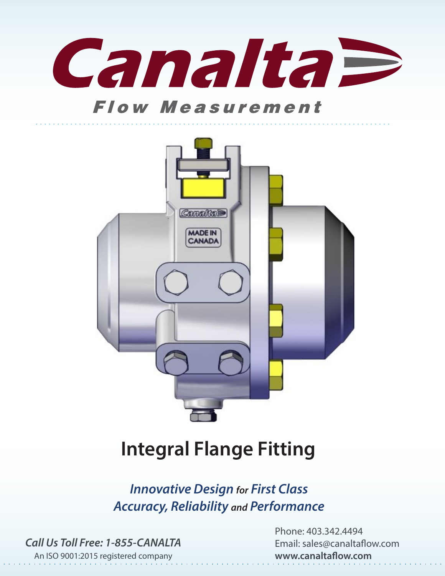

## **Flow Measurement**



## **Integral Flange Fitting**

*Innovative Design for First Class Accuracy, Reliability and Performance*

*Call Us Toll Free: 1-855-CANALTA*

Phone: 403.342.4494 Email: sales@canaltaflow.com **www.canaltaflow.com**

An ISO 9001:2015 registered company and the contract of the contract of the contract of the contract of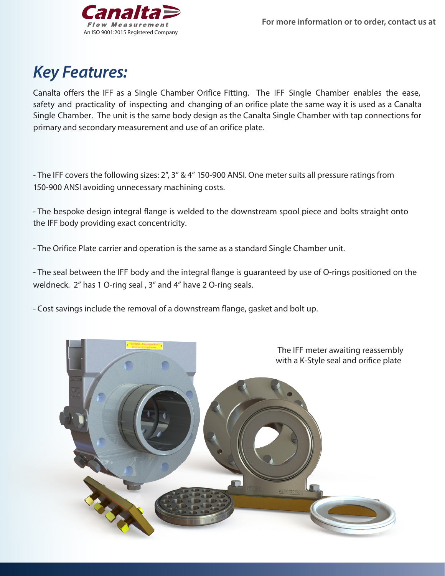

## *Key Features:*

Canalta offers the IFF as a Single Chamber Orifice Fitting. The IFF Single Chamber enables the ease, safety and practicality of inspecting and changing of an orifice plate the same way it is used as a Canalta Single Chamber. The unit is the same body design as the Canalta Single Chamber with tap connections for primary and secondary measurement and use of an orifice plate.

- The IFF covers the following sizes: 2", 3" & 4" 150-900 ANSI. One meter suits all pressure ratings from 150-900 ANSI avoiding unnecessary machining costs.

- The bespoke design integral flange is welded to the downstream spool piece and bolts straight onto the IFF body providing exact concentricity.

- The Orifice Plate carrier and operation is the same as a standard Single Chamber unit.

- The seal between the IFF body and the integral flange is guaranteed by use of O-rings positioned on the weldneck. 2" has 1 O-ring seal , 3" and 4" have 2 O-ring seals.

- Cost savings include the removal of a downstream flange, gasket and bolt up.

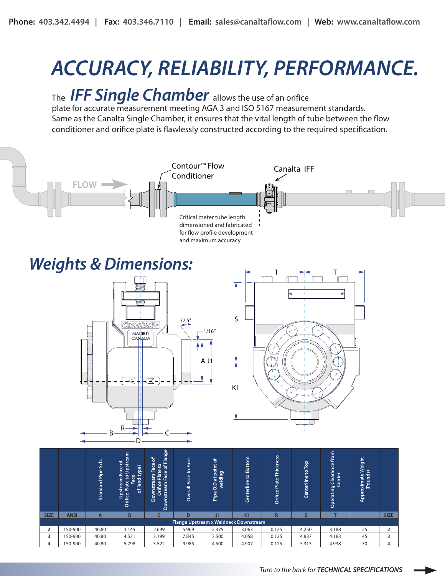# *ACCURACY, RELIABILITY, PERFORMANCE.*

## The **IFF** *Single Chamber* allows the use of an orifice

plate for accurate measurement meeting AGA 3 and ISO 5167 measurement standards. Same as the Canalta Single Chamber, it ensures that the vital length of tube between the flow conditioner and orifice plate is flawlessly constructed according to the required specification.